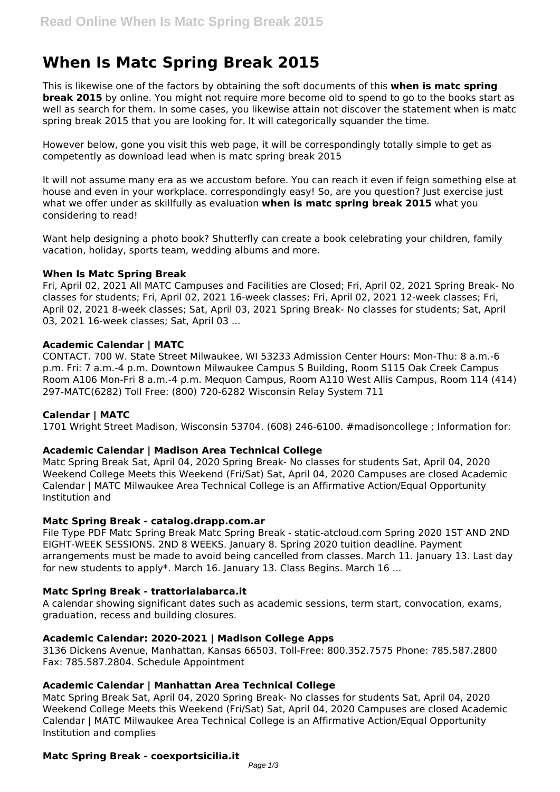# **When Is Matc Spring Break 2015**

This is likewise one of the factors by obtaining the soft documents of this **when is matc spring break 2015** by online. You might not require more become old to spend to go to the books start as well as search for them. In some cases, you likewise attain not discover the statement when is matc spring break 2015 that you are looking for. It will categorically squander the time.

However below, gone you visit this web page, it will be correspondingly totally simple to get as competently as download lead when is matc spring break 2015

It will not assume many era as we accustom before. You can reach it even if feign something else at house and even in your workplace. correspondingly easy! So, are you question? Just exercise just what we offer under as skillfully as evaluation **when is matc spring break 2015** what you considering to read!

Want help designing a photo book? Shutterfly can create a book celebrating your children, family vacation, holiday, sports team, wedding albums and more.

## **When Is Matc Spring Break**

Fri, April 02, 2021 All MATC Campuses and Facilities are Closed; Fri, April 02, 2021 Spring Break- No classes for students; Fri, April 02, 2021 16-week classes; Fri, April 02, 2021 12-week classes; Fri, April 02, 2021 8-week classes; Sat, April 03, 2021 Spring Break- No classes for students; Sat, April 03, 2021 16-week classes; Sat, April 03 ...

# **Academic Calendar | MATC**

CONTACT. 700 W. State Street Milwaukee, WI 53233 Admission Center Hours: Mon-Thu: 8 a.m.-6 p.m. Fri: 7 a.m.-4 p.m. Downtown Milwaukee Campus S Building, Room S115 Oak Creek Campus Room A106 Mon-Fri 8 a.m.-4 p.m. Mequon Campus, Room A110 West Allis Campus, Room 114 (414) 297-MATC(6282) Toll Free: (800) 720-6282 Wisconsin Relay System 711

## **Calendar | MATC**

1701 Wright Street Madison, Wisconsin 53704. (608) 246-6100. #madisoncollege ; Information for:

## **Academic Calendar | Madison Area Technical College**

Matc Spring Break Sat, April 04, 2020 Spring Break- No classes for students Sat, April 04, 2020 Weekend College Meets this Weekend (Fri/Sat) Sat, April 04, 2020 Campuses are closed Academic Calendar | MATC Milwaukee Area Technical College is an Affirmative Action/Equal Opportunity Institution and

# **Matc Spring Break - catalog.drapp.com.ar**

File Type PDF Matc Spring Break Matc Spring Break - static-atcloud.com Spring 2020 1ST AND 2ND EIGHT-WEEK SESSIONS. 2ND 8 WEEKS. January 8. Spring 2020 tuition deadline. Payment arrangements must be made to avoid being cancelled from classes. March 11. January 13. Last day for new students to apply\*. March 16. January 13. Class Begins. March 16 ...

## **Matc Spring Break - trattorialabarca.it**

A calendar showing significant dates such as academic sessions, term start, convocation, exams, graduation, recess and building closures.

## **Academic Calendar: 2020-2021 | Madison College Apps**

3136 Dickens Avenue, Manhattan, Kansas 66503. Toll-Free: 800.352.7575 Phone: 785.587.2800 Fax: 785.587.2804. Schedule Appointment

# **Academic Calendar | Manhattan Area Technical College**

Matc Spring Break Sat, April 04, 2020 Spring Break- No classes for students Sat, April 04, 2020 Weekend College Meets this Weekend (Fri/Sat) Sat, April 04, 2020 Campuses are closed Academic Calendar | MATC Milwaukee Area Technical College is an Affirmative Action/Equal Opportunity Institution and complies

## **Matc Spring Break - coexportsicilia.it**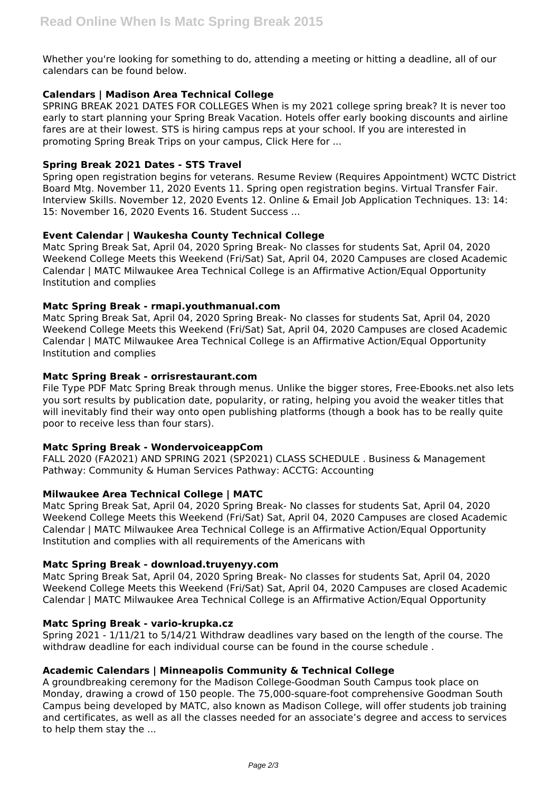Whether you're looking for something to do, attending a meeting or hitting a deadline, all of our calendars can be found below.

# **Calendars | Madison Area Technical College**

SPRING BREAK 2021 DATES FOR COLLEGES When is my 2021 college spring break? It is never too early to start planning your Spring Break Vacation. Hotels offer early booking discounts and airline fares are at their lowest. STS is hiring campus reps at your school. If you are interested in promoting Spring Break Trips on your campus, Click Here for ...

## **Spring Break 2021 Dates - STS Travel**

Spring open registration begins for veterans. Resume Review (Requires Appointment) WCTC District Board Mtg. November 11, 2020 Events 11. Spring open registration begins. Virtual Transfer Fair. Interview Skills. November 12, 2020 Events 12. Online & Email Job Application Techniques. 13: 14: 15: November 16, 2020 Events 16. Student Success ...

# **Event Calendar | Waukesha County Technical College**

Matc Spring Break Sat, April 04, 2020 Spring Break- No classes for students Sat, April 04, 2020 Weekend College Meets this Weekend (Fri/Sat) Sat, April 04, 2020 Campuses are closed Academic Calendar | MATC Milwaukee Area Technical College is an Affirmative Action/Equal Opportunity Institution and complies

# **Matc Spring Break - rmapi.youthmanual.com**

Matc Spring Break Sat, April 04, 2020 Spring Break- No classes for students Sat, April 04, 2020 Weekend College Meets this Weekend (Fri/Sat) Sat, April 04, 2020 Campuses are closed Academic Calendar | MATC Milwaukee Area Technical College is an Affirmative Action/Equal Opportunity Institution and complies

# **Matc Spring Break - orrisrestaurant.com**

File Type PDF Matc Spring Break through menus. Unlike the bigger stores, Free-Ebooks.net also lets you sort results by publication date, popularity, or rating, helping you avoid the weaker titles that will inevitably find their way onto open publishing platforms (though a book has to be really quite poor to receive less than four stars).

## **Matc Spring Break - WondervoiceappCom**

FALL 2020 (FA2021) AND SPRING 2021 (SP2021) CLASS SCHEDULE . Business & Management Pathway: Community & Human Services Pathway: ACCTG: Accounting

# **Milwaukee Area Technical College | MATC**

Matc Spring Break Sat, April 04, 2020 Spring Break- No classes for students Sat, April 04, 2020 Weekend College Meets this Weekend (Fri/Sat) Sat, April 04, 2020 Campuses are closed Academic Calendar | MATC Milwaukee Area Technical College is an Affirmative Action/Equal Opportunity Institution and complies with all requirements of the Americans with

## **Matc Spring Break - download.truyenyy.com**

Matc Spring Break Sat, April 04, 2020 Spring Break- No classes for students Sat, April 04, 2020 Weekend College Meets this Weekend (Fri/Sat) Sat, April 04, 2020 Campuses are closed Academic Calendar | MATC Milwaukee Area Technical College is an Affirmative Action/Equal Opportunity

## **Matc Spring Break - vario-krupka.cz**

Spring 2021 - 1/11/21 to 5/14/21 Withdraw deadlines vary based on the length of the course. The withdraw deadline for each individual course can be found in the course schedule .

## **Academic Calendars | Minneapolis Community & Technical College**

A groundbreaking ceremony for the Madison College-Goodman South Campus took place on Monday, drawing a crowd of 150 people. The 75,000-square-foot comprehensive Goodman South Campus being developed by MATC, also known as Madison College, will offer students job training and certificates, as well as all the classes needed for an associate's degree and access to services to help them stay the ...